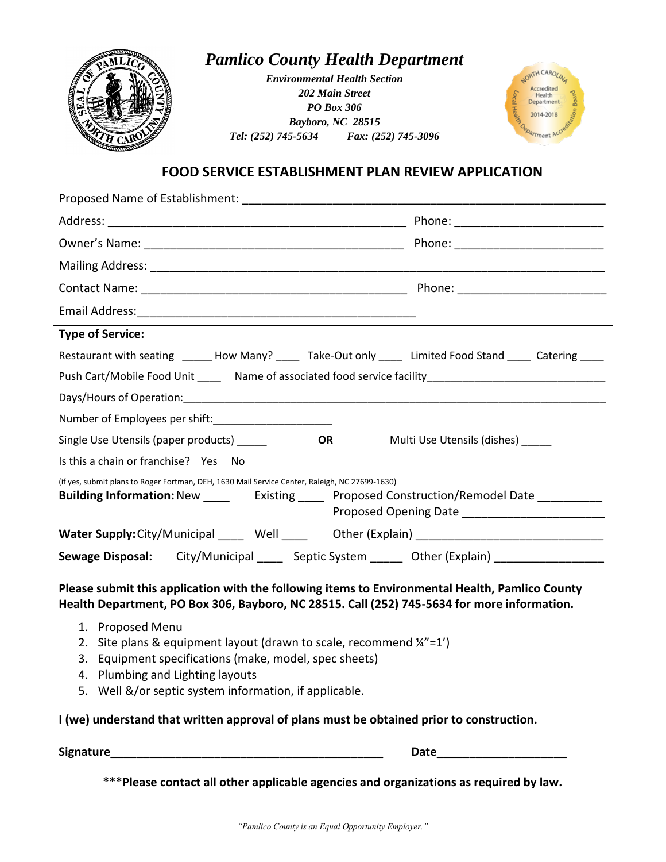

## *Pamlico County Health Department*

*Environmental Health Section 202 Main Street PO Box 306 Bayboro, NC 28515 Tel: (252) 745-5634 Fax: (252) 745-3096*



## **FOOD SERVICE ESTABLISHMENT PLAN REVIEW APPLICATION**

| <b>Type of Service:</b>                                                                                                                                                                        |  |
|------------------------------------------------------------------------------------------------------------------------------------------------------------------------------------------------|--|
| Restaurant with seating ______ How Many? _____ Take-Out only _____ Limited Food Stand ____ Catering ____                                                                                       |  |
| Push Cart/Mobile Food Unit _______ Name of associated food service facility_________________________                                                                                           |  |
|                                                                                                                                                                                                |  |
| Number of Employees per shift:________________________                                                                                                                                         |  |
| Single Use Utensils (paper products)<br>Multi Use Utensils (dishes)<br>OR                                                                                                                      |  |
| Is this a chain or franchise? Yes No                                                                                                                                                           |  |
| (if yes, submit plans to Roger Fortman, DEH, 1630 Mail Service Center, Raleigh, NC 27699-1630)                                                                                                 |  |
| Building Information: New _________ Existing _______ Proposed Construction/Remodel Date ___________                                                                                            |  |
|                                                                                                                                                                                                |  |
|                                                                                                                                                                                                |  |
| Sewage Disposal: City/Municipal _____ Septic System ______ Other (Explain) __________________                                                                                                  |  |
| Please submit this application with the following items to Environmental Health, Pamlico County<br>Health Department, PO Box 306, Bayboro, NC 28515. Call (252) 745-5634 for more information. |  |
| 1. Proposed Menu<br>2. Site plans & equipment layout (drawn to scale, recommend $\frac{1}{4}$ =1')<br>3. Equipment specifications (make, model, spec sheets)                                   |  |

- 4. Plumbing and Lighting layouts
- 5. Well &/or septic system information, if applicable.

## **I (we) understand that written approval of plans must be obtained prior to construction.**

**Signature\_\_\_\_\_\_\_\_\_\_\_\_\_\_\_\_\_\_\_\_\_\_\_\_\_\_\_\_\_\_\_\_\_\_\_\_\_\_\_\_\_\_ Date\_\_\_\_\_\_\_\_\_\_\_\_\_\_\_\_\_\_\_\_**

**\*\*\*Please contact all other applicable agencies and organizations as required by law.**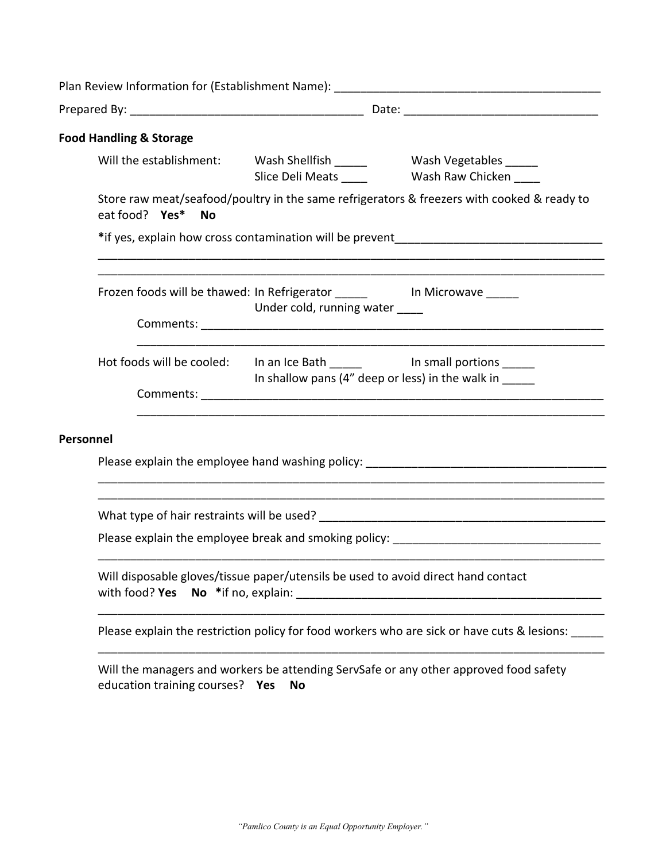| <b>Food Handling &amp; Storage</b>                                                                  |                                |                                                                                                                              |  |
|-----------------------------------------------------------------------------------------------------|--------------------------------|------------------------------------------------------------------------------------------------------------------------------|--|
|                                                                                                     |                                | Will the establishment: Wash Shellfish _______ Wash Vegetables _____<br>Slice Deli Meats ______ Wash Raw Chicken ____        |  |
| eat food? Yes* No                                                                                   |                                | Store raw meat/seafood/poultry in the same refrigerators & freezers with cooked & ready to                                   |  |
|                                                                                                     |                                |                                                                                                                              |  |
| Frozen foods will be thawed: In Refrigerator ___________________________________                    | Under cold, running water ____ |                                                                                                                              |  |
|                                                                                                     |                                | Hot foods will be cooled: In an Ice Bath _______ In small portions _____<br>In shallow pans (4" deep or less) in the walk in |  |
| Personnel                                                                                           |                                |                                                                                                                              |  |
|                                                                                                     |                                |                                                                                                                              |  |
|                                                                                                     |                                |                                                                                                                              |  |
| Will disposable gloves/tissue paper/utensils be used to avoid direct hand contact<br>with food? Yes |                                |                                                                                                                              |  |
|                                                                                                     |                                | Please explain the restriction policy for food workers who are sick or have cuts & lesions: _____                            |  |
| education training courses? Yes                                                                     | <b>No</b>                      | Will the managers and workers be attending ServSafe or any other approved food safety                                        |  |